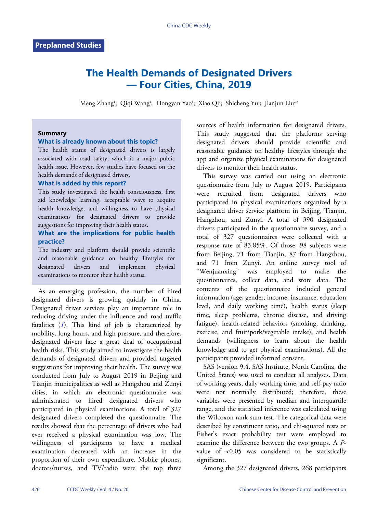# **The Health Demands of Designated Drivers — Four Cities, China, 2019**

Meng Zhang'; Qiqi Wang'; Hongyan Yao'; Xiao Qi'; Shicheng Yu'; Jianjun Liu<sup>2,#</sup>

## **Summary**

## **What is already known about this topic?**

The health status of designated drivers is largely associated with road safety, which is a major public health issue. However, few studies have focused on the health demands of designated drivers.

## **What is added by this report?**

This study investigated the health consciousness, first aid knowledge learning, acceptable ways to acquire health knowledge, and willingness to have physical examinations for designated drivers to provide suggestions for improving their health status.

# **What are the implications for public health practice?**

The industry and platform should provide scientific and reasonable guidance on healthy lifestyles for designated drivers and implement physical examinations to monitor their health status.

As an emerging profession, the number of hired designated drivers is growing quickly in China. Designated driver services play an important role in reducing driving under the influence and road traffic fatalities (*[1](#page-4-0)*). This kind of job is characterized by mobility, long hours, and high pressure, and therefore, designated drivers face a great deal of occupational health risks. This study aimed to investigate the health demands of designated drivers and provided targeted suggestions for improving their health. The survey was conducted from July to August 2019 in Beijing and Tianjin municipalities as well as Hangzhou and Zunyi cities, in which an electronic questionnaire was administrated to hired designated drivers who participated in physical examinations. A total of 327 designated drivers completed the questionnaire. The results showed that the percentage of drivers who had ever received a physical examination was low. The willingness of participants to have a medical examination decreased with an increase in the proportion of their own expenditure. Mobile phones, doctors/nurses, and TV/radio were the top three

sources of health information for designated drivers. This study suggested that the platforms serving designated drivers should provide scientific and reasonable guidance on healthy lifestyles through the app and organize physical examinations for designated drivers to monitor their health status.

This survey was carried out using an electronic questionnaire from July to August 2019. Participants were recruited from designated drivers who participated in physical examinations organized by a designated driver service platform in Beijing, Tianjin, Hangzhou, and Zunyi. A total of 390 designated drivers participated in the questionnaire survey, and a total of 327 questionnaires were collected with a response rate of 83.85%. Of those, 98 subjects were from Beijing, 71 from Tianjin, 87 from Hangzhou, and 71 from Zunyi. An online survey tool of "Wenjuanxing" was employed to make the questionnaires, collect data, and store data. The contents of the questionnaire included general information (age, gender, income, insurance, education level, and daily working time), health status (sleep time, sleep problems, chronic disease, and driving fatigue), health-related behaviors (smoking, drinking, exercise, and fruit/pork/vegetable intake), and health demands (willingness to learn about the health knowledge and to get physical examinations). All the participants provided informed consent.

SAS (version 9.4, SAS Institute, North Carolina, the United States) was used to conduct all analyses. Data of working years, daily working time, and self-pay ratio were not normally distributed; therefore, these variables were presented by median and interquartile range, and the statistical inference was calculated using the Wilcoxon rank-sum test. The categorical data were described by constituent ratio, and chi-squared tests or Fisher's exact probability test were employed to examine the difference between the two groups. A *P*value of <0.05 was considered to be statistically significant.

Among the 327 designated drivers, 268 participants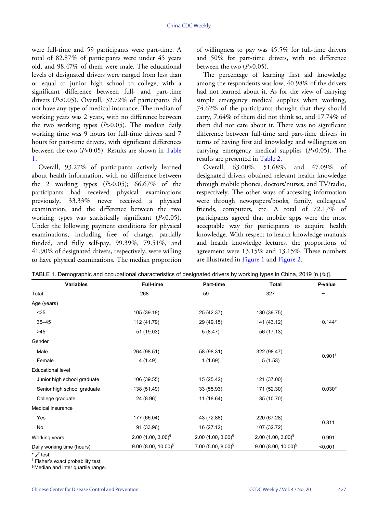were full-time and 59 participants were part-time. A total of 82.87% of participants were under 45 years old, and 98.47% of them were male. The educational levels of designated drivers were ranged from less than or equal to junior high school to college, with a significant difference between full- and part-time drivers (*P*<0.05). Overall, 32.72% of participants did not have any type of medical insurance. The median of working years was 2 years, with no difference between the two working types (*P*>0.05). The median daily working time was 9 hours for full-time drivers and 7 hours for part-time drivers, with significant differences between the two (*P*<0.05). Results are shown in [Table](#page-1-0) [1.](#page-1-0)

Overall, 93.27% of participants actively learned about health information, with no difference between the 2 working types (*P*>0.05); 66.67% of the participants had received physical examinations previously, 33.33% never received a physical examination, and the difference between the two working types was statistically significant (*P*<0.05). Under the following payment conditions for physical examinations, including free of charge, partially funded, and fully self-pay, 99.39%, 79.51%, and 41.90% of designated drivers, respectively, were willing to have physical examinations. The median proportion

of willingness to pay was 45.5% for full-time drivers and 50% for part-time drivers, with no difference between the two (*P*>0.05).

The percentage of learning first aid knowledge among the respondents was low, 40.98% of the drivers had not learned about it. As for the view of carrying simple emergency medical supplies when working, 74.62% of the participants thought that they should carry, 7.64% of them did not think so, and 17.74% of them did not care about it. There was no significant difference between full-time and part-time drivers in terms of having first aid knowledge and willingness on carrying emergency medical supplies (*P*>0.05). The results are presented in [Table 2.](#page-2-0)

Overall, 63.00%, 51.68%, and 47.09% of designated drivers obtained relevant health knowledge through mobile phones, doctors/nurses, and TV/radio, respectively. The other ways of accessing information were through newspapers/books, family, colleagues/ friends, computers, etc. A total of 72.17% of participants agreed that mobile apps were the most acceptable way for participants to acquire health knowledge. With respect to health knowledge manuals and health knowledge lectures, the proportions of agreement were 13.15% and 13.15%. These numbers are illustrated in [Figure 1](#page-3-0) and [Figure 2.](#page-3-1)

<span id="page-1-0"></span>TABLE 1. Demographic and occupational characteristics of designated drivers by working types in China, 2019 [n (%)].

| <b>Variables</b>            | <b>Full-time</b>         | Part-time                        | Total                    | P-value              |  |
|-----------------------------|--------------------------|----------------------------------|--------------------------|----------------------|--|
| Total                       | 268                      | 59                               | 327                      |                      |  |
| Age (years)                 |                          |                                  |                          |                      |  |
| $35$                        | 105 (39.18)              | 25 (42.37)                       | 130 (39.75)              |                      |  |
| $35 - 45$                   | 112 (41.79)              | 29 (49.15)                       | 141 (43.12)              | $0.144*$             |  |
| >45                         | 51 (19.03)               | 5(8.47)                          | 56 (17.13)               |                      |  |
| Gender                      |                          |                                  |                          |                      |  |
| Male                        | 264 (98.51)              | 58 (98.31)                       | 322 (98.47)              |                      |  |
| Female                      | 4(1.49)                  | 1(1.69)                          | 5(1.53)                  | $0.901$ <sup>t</sup> |  |
| <b>Educational level</b>    |                          |                                  |                          |                      |  |
| Junior high school graduate | 106 (39.55)              | 15 (25.42)                       | 121 (37.00)              |                      |  |
| Senior high school graduate | 138 (51.49)              | 33 (55.93)                       | 171 (52.30)              | $0.030*$             |  |
| College graduate            | 24 (8.96)                | 11 (18.64)                       | 35 (10.70)               |                      |  |
| Medical insurance           |                          |                                  |                          |                      |  |
| Yes                         | 177 (66.04)              | 43 (72.88)                       | 220 (67.28)              | 0.311                |  |
| No                          | 91 (33.96)               | 16 (27.12)                       | 107 (32.72)              |                      |  |
| Working years               | 2.00 $(1.00, 3.00)^{\$}$ | 2.00 $(1.00, 3.00)^{\$}$         | 2.00 $(1.00, 3.00)^{\$}$ | 0.991                |  |
| Daily working time (hours)  | $9.00(8.00, 10.00)^{5}$  | $7.00$ (5.00, 8.00) <sup>§</sup> | $9.00(8.00, 10.00)^{5}$  | < 0.001              |  |

 $^{\star}$   $\chi^2$  test;

† Fisher's exact probability test;

§ Median and inter quartile range.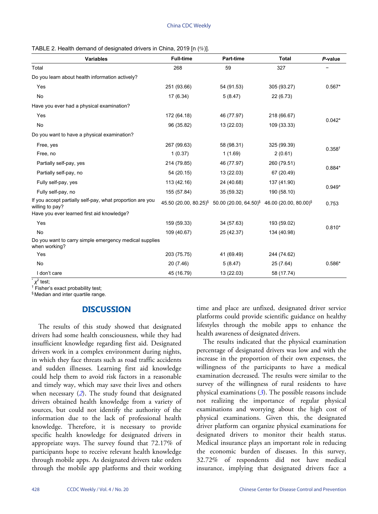<span id="page-2-0"></span>

| TABLE 2. Health demand of designated drivers in China, 2019 [n (%)]. |  |  |
|----------------------------------------------------------------------|--|--|
|----------------------------------------------------------------------|--|--|

| <b>Variables</b>                                                             | <b>Full-time</b> | Part-time                                                           | <b>Total</b>                      | P-value            |
|------------------------------------------------------------------------------|------------------|---------------------------------------------------------------------|-----------------------------------|--------------------|
| Total                                                                        | 268              | 59                                                                  | 327                               |                    |
| Do you learn about health information actively?                              |                  |                                                                     |                                   |                    |
| Yes                                                                          | 251 (93.66)      | 54 (91.53)                                                          | 305 (93.27)                       | $0.567*$           |
| No                                                                           | 17(6.34)         | 5(8.47)                                                             | 22 (6.73)                         |                    |
| Have you ever had a physical examination?                                    |                  |                                                                     |                                   |                    |
| Yes                                                                          | 172 (64.18)      | 46 (77.97)                                                          | 218 (66.67)                       | $0.042*$           |
| No                                                                           | 96 (35.82)       | 13 (22.03)                                                          | 109 (33.33)                       |                    |
| Do you want to have a physical examination?                                  |                  |                                                                     |                                   |                    |
| Free, yes                                                                    | 267 (99.63)      | 58 (98.31)                                                          | 325 (99.39)                       | 0.358 <sup>†</sup> |
| Free, no                                                                     | 1(0.37)          | 1(1.69)                                                             | 2(0.61)                           |                    |
| Partially self-pay, yes                                                      | 214 (79.85)      | 46 (77.97)                                                          | 260 (79.51)                       | $0.884*$           |
| Partially self-pay, no                                                       | 54 (20.15)       | 13 (22.03)                                                          | 67 (20.49)                        |                    |
| Fully self-pay, yes                                                          | 113 (42.16)      | 24 (40.68)                                                          | 137 (41.90)                       | $0.949*$           |
| Fully self-pay, no                                                           | 155 (57.84)      | 35 (59.32)                                                          | 190 (58.10)                       |                    |
| If you accept partially self-pay, what proportion are you<br>willing to pay? |                  | 45.50 (20.00, 80.25) <sup>§</sup> 50.00 (20.00, 64.50) <sup>§</sup> | 46.00 (20.00, 80.00) <sup>§</sup> | 0.753              |
| Have you ever learned first aid knowledge?                                   |                  |                                                                     |                                   |                    |
| Yes                                                                          | 159 (59.33)      | 34 (57.63)                                                          | 193 (59.02)                       | $0.810*$           |
| No                                                                           | 109 (40.67)      | 25 (42.37)                                                          | 134 (40.98)                       |                    |
| Do you want to carry simple emergency medical supplies<br>when working?      |                  |                                                                     |                                   |                    |
| Yes                                                                          | 203 (75.75)      | 41 (69.49)                                                          | 244 (74.62)                       |                    |
| No                                                                           | 20(7.46)         | 5(8.47)                                                             | 25 (7.64)                         | $0.586*$           |
| I don't care                                                                 | 45 (16.79)       | 13 (22.03)                                                          | 58 (17.74)                        |                    |

\* *χ* 2 test;

† Fisher's exact probability test;

§ Median and inter quartile range.

# **DISCUSSION**

The results of this study showed that designated drivers had some health consciousness, while they had insufficient knowledge regarding first aid. Designated drivers work in a complex environment during nights, in which they face threats such as road traffic accidents and sudden illnesses. Learning first aid knowledge could help them to avoid risk factors in a reasonable and timely way, which may save their lives and others when necessary ([2](#page-4-1)). The study found that designated drivers obtained health knowledge from a variety of sources, but could not identify the authority of the information due to the lack of professional health knowledge. Therefore, it is necessary to provide specific health knowledge for designated drivers in appropriate ways. The survey found that 72.17% of participants hope to receive relevant health knowledge through mobile apps. As designated drivers take orders through the mobile app platforms and their working

time and place are unfixed, designated driver service platforms could provide scientific guidance on healthy lifestyles through the mobile apps to enhance the health awareness of designated drivers.

The results indicated that the physical examination percentage of designated drivers was low and with the increase in the proportion of their own expenses, the willingness of the participants to have a medical examination decreased. The results were similar to the survey of the willingness of rural residents to have physical examinations (*[3](#page-4-2)*). The possible reasons include not realizing the importance of regular physical examinations and worrying about the high cost of physical examinations. Given this, the designated driver platform can organize physical examinations for designated drivers to monitor their health status. Medical insurance plays an important role in reducing the economic burden of diseases. In this survey, 32.72% of respondents did not have medical insurance, implying that designated drivers face a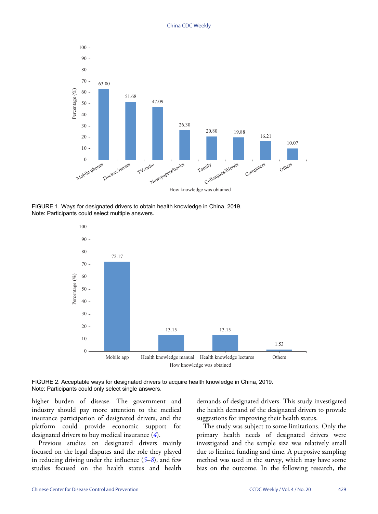<span id="page-3-0"></span>

<span id="page-3-1"></span>FIGURE 1. Ways for designated drivers to obtain health knowledge in China, 2019. Note: Participants could select multiple answers.



FIGURE 2. Acceptable ways for designated drivers to acquire health knowledge in China, 2019. Note: Participants could only select single answers.

higher burden of disease. The government and industry should pay more attention to the medical insurance participation of designated drivers, and the platform could provide economic support for designated drivers to buy medical insurance (*[4](#page-4-3)*).

Previous studies on designated drivers mainly focused on the legal disputes and the role they played in reducing driving under the influence (*[5](#page-4-4)*–*[8](#page-4-5)*), and few studies focused on the health status and health

demands of designated drivers. This study investigated the health demand of the designated drivers to provide suggestions for improving their health status.

The study was subject to some limitations. Only the primary health needs of designated drivers were investigated and the sample size was relatively small due to limited funding and time. A purposive sampling method was used in the survey, which may have some bias on the outcome. In the following research, the